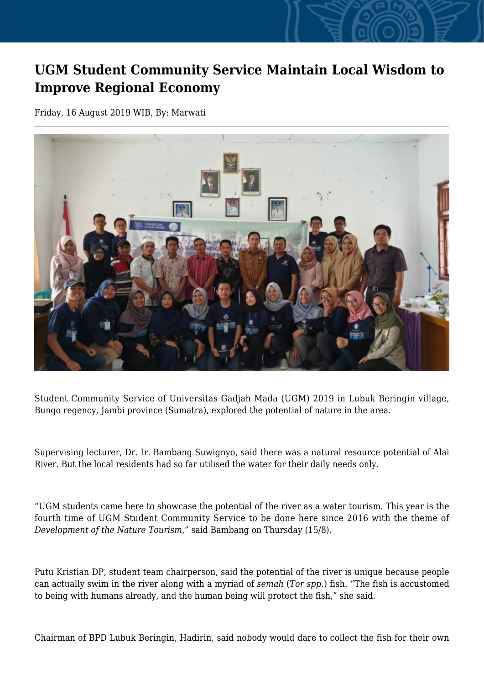## **UGM Student Community Service Maintain Local Wisdom to Improve Regional Economy**

Friday, 16 August 2019 WIB, By: Marwati



Student Community Service of Universitas Gadjah Mada (UGM) 2019 in Lubuk Beringin village, Bungo regency, Jambi province (Sumatra), explored the potential of nature in the area.

Supervising lecturer, Dr. Ir. Bambang Suwignyo, said there was a natural resource potential of Alai River. But the local residents had so far utilised the water for their daily needs only.

"UGM students came here to showcase the potential of the river as a water tourism. This year is the fourth time of UGM Student Community Service to be done here since 2016 with the theme of *Development of the Nature Tourism*," said Bambang on Thursday (15/8).

Putu Kristian DP, student team chairperson, said the potential of the river is unique because people can actually swim in the river along with a myriad of *semah* (*Tor spp.*) fish. "The fish is accustomed to being with humans already, and the human being will protect the fish," she said.

Chairman of BPD Lubuk Beringin, Hadirin, said nobody would dare to collect the fish for their own